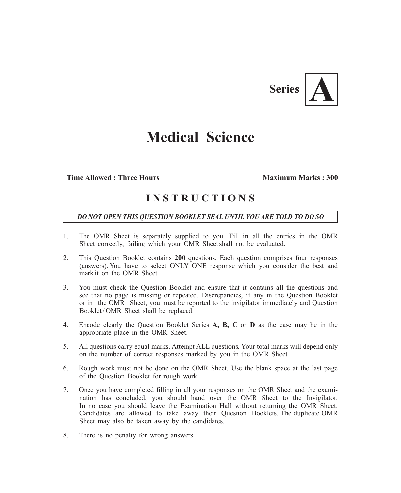# **Series**

## **Medical Science**

## **Time Allowed : Three Hours Maximum Marks : 300**

## **I N S T R U C T I O N S**

### *DO NOT OPEN THIS QUESTION BOOKLET SEAL UNTIL YOU ARE TOLD TO DO SO*

- 1. The OMR Sheet is separately supplied to you. Fill in all the entries in the OMR Sheet correctly, failing which your OMR Sheet shall not be evaluated.
- 2. This Question Booklet contains **200** questions. Each question comprises four responses (answers). You have to select ONLY ONE response which you consider the best and mark it on the OMR Sheet.
- 3. You must check the Question Booklet and ensure that it contains all the questions and see that no page is missing or repeated. Discrepancies, if any in the Question Booklet or in the OMR Sheet, you must be reported to the invigilator immediately and Question Booklet/OMR Sheet shall be replaced.
- 4. Encode clearly the Question Booklet Series **A, B, C** or **D** as the case may be in the appropriate place in the OMR Sheet.
- 5. All questions carry equal marks. Attempt ALL questions. Your total marks will depend only on the number of correct responses marked by you in the OMR Sheet.
- 6. Rough work must not be done on the OMR Sheet. Use the blank space at the last page of the Question Booklet for rough work.
- 7. Once you have completed filling in all your responses on the OMR Sheet and the examination has concluded, you should hand over the OMR Sheet to the Invigilator. In no case you should leave the Examination Hall without returning the OMR Sheet. Candidates are allowed to take away their Question Booklets. The duplicate OMR Sheet may also be taken away by the candidates.
- 8. There is no penalty for wrong answers.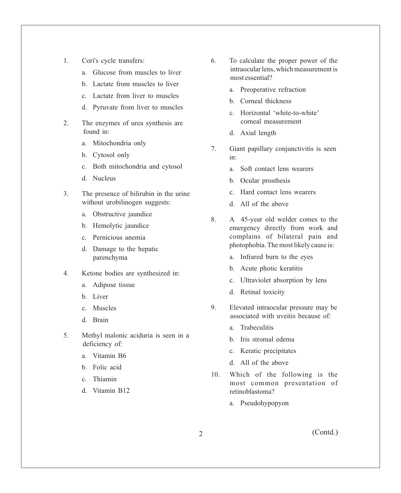- 1. Cori's cycle transfers:
	- a. Glucose from muscles to liver
	- b. Lactate from muscles to liver
	- c. Lactate from liver to muscles
	- d. Pyruvate from liver to muscles
- 2. The enzymes of urea synthesis are found in:
	- a. Mitochondria only
	- b. Cytosol only
	- c. Both mitochondria and cytosol
	- d. Nucleus
- 3. The presence of bilirubin in the urine without urobilinogen suggests:
	- a. Obstructive jaundice
	- b. Hemolytic jaundice
	- c. Pernicious anemia
	- d. Damage to the hepatic parenchyma
- 4. Ketone bodies are synthesized in:
	- a. Adipose tissue
	- b. Liver
	- c. Muscles
	- d. Brain
- 5. Methyl malonic aciduria is seen in a deficiency of:
	- a. Vitamin B6
	- b. Folic acid
	- c. Thiamin
	- d. Vitamin B12
- 6. To calculate the proper power of the intraocular lens, which measurement is most essential?
	- a. Preoperative refraction
	- b. Corneal thickness
	- c. Horizontal 'white-to-white' corneal measurement
	- d. Axial length
- 7. Giant papillary conjunctivitis is seen in:
	- a. Soft contact lens wearers
	- b. Ocular prosthesis
	- c. Hard contact lens wearers
	- d. All of the above
- 8. A 45-year old welder comes to the emergency directly from work and complains of bilateral pain and photophobia. The most likely cause is:
	- a. Infrared burn to the eyes
	- b. Acute photic keratitis
	- c. Ultraviolet absorption by lens
	- d. Retinal toxicity
- 9. Elevated intraocular pressure may be associated with uveitis because of:
	- a. Trabeculitis
	- b. Iris stromal edema
	- c. Keratic precipitates
	- d. All of the above
- 10. Which of the following is the most common presentation of retinoblastoma?
	- a. Pseudohypopyon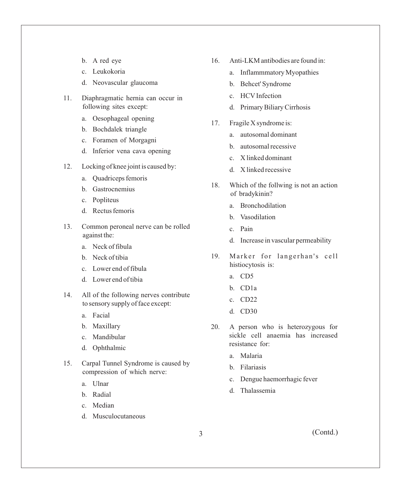- b. A red eye
- c. Leukokoria
- d. Neovascular glaucoma
- 11. Diaphragmatic hernia can occur in following sites except:
	- a. Oesophageal opening
	- b. Bochdalek triangle
	- c. Foramen of Morgagni
	- d. Inferior vena cava opening
- 12. Locking of knee joint is caused by:
	- a. Quadriceps femoris
	- b. Gastrocnemius
	- c. Popliteus
	- d. Rectus femoris
- 13. Common peroneal nerve can be rolled against the:
	- a. Neck of fibula
	- b. Neck of tibia
	- c. Lower end of fibula
	- d. Lower end of tibia
- 14. All of the following nerves contribute to sensory supply of face except:
	- a. Facial
	- b. Maxillary
	- c. Mandibular
	- d. Ophthalmic
- 15. Carpal Tunnel Syndrome is caused by compression of which nerve:
	- a. Ulnar
	- b. Radial
	- c. Median
	- d. Musculocutaneous
- 16. Anti-LKM antibodies are found in:
	- a. Inflammmatory Myopathies
	- b. Behcet' Syndrome
	- c. HCVInfection
	- d. Primary Biliary Cirrhosis
- 17. Fragile X syndrome is:
	- a. autosomal dominant
	- b. autosomal recessive
	- c. X linked dominant
	- d. X linked recessive
- 18. Which of the follwing is not an action of bradykinin?
	- a. Bronchodilation
	- b. Vasodilation
	- c. Pain
	- d. Increase in vascular permeability
- 19. Marker for langerhan's cell histiocytosis is:
	- a. CD5
	- b. CD1a
	- c. CD22
	- d. CD30
- 20. A person who is heterozygous for sickle cell anaemia has increased resistance for:
	- a. Malaria
	- b. Filariasis
	- c. Dengue haemorrhagic fever
	- d. Thalassemia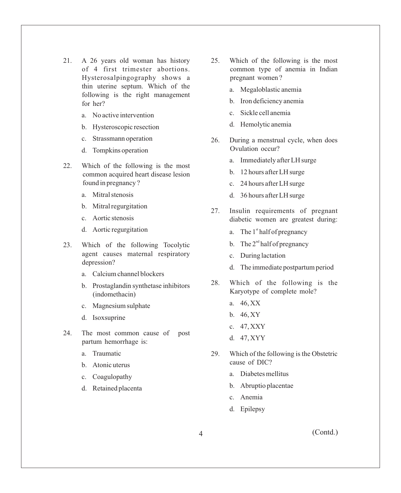- 21. A 26 years old woman has history of 4 first trimester abortions. Hysterosalpingography shows a thin uterine septum. Which of the following is the right management for her?
	- a. No active intervention
	- b. Hysteroscopic resection
	- c. Strassmann operation
	- d. Tompkins operation
- 22. Which of the following is the most common acquired heart disease lesion found in pregnancy ?
	- a. Mitral stenosis
	- b. Mitral regurgitation
	- c. Aortic stenosis
	- d. Aortic regurgitation
- 23. Which of the following Tocolytic agent causes maternal respiratory depression?
	- a. Calcium channel blockers
	- b. Prostaglandin synthetase inhibitors (indomethacin)
	- c. Magnesium sulphate
	- d. Isoxsuprine
- 24. The most common cause of post partum hemorrhage is:
	- a. Traumatic
	- b. Atonic uterus
	- c. Coagulopathy
	- d. Retained placenta
- 25. Which of the following is the most common type of anemia in Indian pregnant women ?
	- a. Megaloblastic anemia
	- b. Iron deficiency anemia
	- c. Sickle cell anemia
	- d. Hemolytic anemia
- 26. During a menstrual cycle, when does Ovulation occur?
	- a. Immediately after LH surge
	- b. 12 hours after LH surge
	- c. 24 hours after LH surge
	- d. 36 hours after LH surge
- 27. Insulin requirements of pregnant diabetic women are greatest during:
	- a. The  $1^{st}$  half of pregnancy
	- b. The  $2<sup>nd</sup>$  half of pregnancy
	- c. During lactation
	- d. The immediate postpartum period
- 28. Which of the following is the Karyotype of complete mole?
	- a. 46, XX
	- b. 46, XY
	- c. 47, XXY
	- d. 47, XYY
- 29. Which of the following is the Obstetric cause of DIC?
	- a. Diabetes mellitus
	- b. Abruptio placentae
	- c. Anemia
	- d. Epilepsy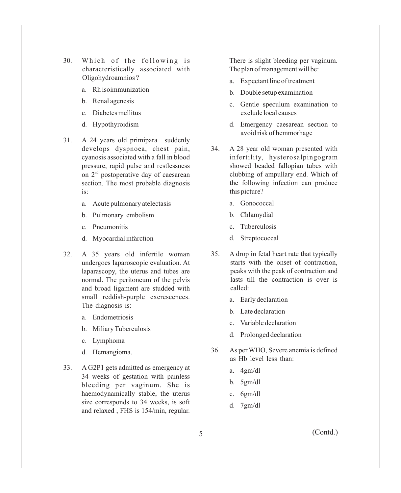- 30. Which of the following is characteristically associated with Oligohydroamnios ?
	- a. Rh isoimmunization
	- b. Renal agenesis
	- c. Diabetes mellitus
	- d. Hypothyroidism
- 31. A 24 years old primipara suddenly develops dyspnoea, chest pain, cyanosis associated with a fall in blood pressure, rapid pulse and restlessness on  $2<sup>nd</sup>$  postoperative day of caesarean section. The most probable diagnosis is:
	- a. Acute pulmonary atelectasis
	- b. Pulmonary embolism
	- c. Pneumonitis
	- d. Myocardial infarction
- 32. A 35 years old infertile woman undergoes laparoscopic evaluation. At laparascopy, the uterus and tubes are normal. The peritoneum of the pelvis and broad ligament are studded with small reddish-purple excrescences. The diagnosis is:
	- a. Endometriosis
	- b. Miliary Tuberculosis
	- c. Lymphoma
	- d. Hemangioma.
- 33. A G2P1 gets admitted as emergency at 34 weeks of gestation with painless bleeding per vaginum. She is haemodynamically stable, the uterus size corresponds to 34 weeks, is soft and relaxed , FHS is 154/min, regular.

There is slight bleeding per vaginum. The plan of management will be:

- a. Expectant line of treatment
- b. Double setup examination
- c. Gentle speculum examination to exclude local causes
- d. Emergency caesarean section to avoid risk of hemmorhage
- 34. A 28 year old woman presented with infertility, hysterosalpingogram showed beaded fallopian tubes with clubbing of ampullary end. Which of the following infection can produce this picture?
	- a. Gonococcal
	- b. Chlamydial
	- c. Tuberculosis
	- d. Streptococcal
- 35. A drop in fetal heart rate that typically starts with the onset of contraction, peaks with the peak of contraction and lasts till the contraction is over is called:
	- a. Early declaration
	- b. Late declaration
	- c. Variable declaration
	- d. Prolonged declaration
- 36. As per WHO, Severe anemia is defined as Hb level less than:
	- a. 4gm/dl
	- b. 5gm/dl
	- c. 6gm/dl
	- d. 7gm/dl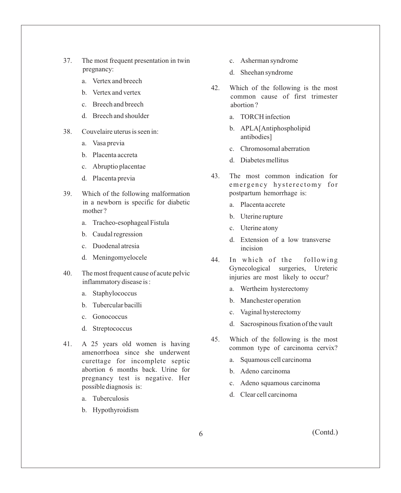- 37. The most frequent presentation in twin pregnancy:
	- a. Vertex and breech
	- b. Vertex and vertex
	- c. Breech and breech
	- d. Breech and shoulder
- 38. Couvelaire uterus is seen in:
	- a. Vasa previa
	- b. Placenta accreta
	- c. Abruptio placentae
	- d. Placenta previa
- 39. Which of the following malformation in a newborn is specific for diabetic mother ?
	- a. Tracheo-esophageal Fistula
	- b. Caudal regression
	- c. Duodenal atresia
	- d. Meningomyelocele
- 40. The most frequent cause of acute pelvic inflammatory disease is :
	- a. Staphylococcus
	- b. Tubercular bacilli
	- c. Gonococcus
	- d. Streptococcus
- 41. A 25 years old women is having amenorrhoea since she underwent curettage for incomplete septic abortion 6 months back. Urine for pregnancy test is negative. Her possible diagnosis is:
	- a. Tuberculosis
	- b. Hypothyroidism
- c. Asherman syndrome
- d. Sheehan syndrome
- 42. Which of the following is the most common cause of first trimester abortion ?
	- a. TORCH infection
	- b. APLA[Antiphospholipid antibodies]
	- c. Chromosomal aberration
	- d. Diabetes mellitus
- 43. The most common indication for emergency hysterectomy for postpartum hemorrhage is:
	- a. Placenta accrete
	- b. Uterine rupture
	- c. Uterine atony
	- d. Extension of a low transverse incision
- 44. In which of the following Gynecological surgeries, Ureteric injuries are most likely to occur?
	- a. Wertheim hysterectomy
	- b. Manchester operation
	- c. Vaginal hysterectomy
	- d. Sacrospinous fixation of the vault
- 45. Which of the following is the most common type of carcinoma cervix?
	- a. Squamous cell carcinoma
	- b. Adeno carcinoma
	- c. Adeno squamous carcinoma
	- d. Clear cell carcinoma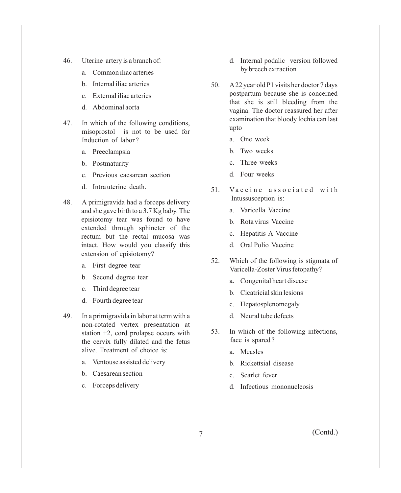- 46. Uterine artery is a branch of:
	- a. Common iliac arteries
	- b. Internal iliac arteries
	- c. External iliac arteries
	- d. Abdominal aorta
- 47. In which of the following conditions, misoprostol is not to be used for Induction of labor ?
	- a. Preeclampsia
	- b. Postmaturity
	- c. Previous caesarean section
	- d. Intra uterine death.
- 48. A primigravida had a forceps delivery and she gave birth to a 3.7 Kg baby. The episiotomy tear was found to have extended through sphincter of the rectum but the rectal mucosa was intact. How would you classify this extension of episiotomy?
	- a. First degree tear
	- b. Second degree tear
	- c. Third degree tear
	- d. Fourth degree tear
- 49. In a primigravida in labor at term with a non-rotated vertex presentation at station +2, cord prolapse occurs with the cervix fully dilated and the fetus alive. Treatment of choice is:
	- a. Ventouse assisted delivery
	- b. Caesarean section
	- c. Forceps delivery
- d. Internal podalic version followed by breech extraction
- 50. A22 year old P1 visits her doctor 7 days postpartum because she is concerned that she is still bleeding from the vagina. The doctor reassured her after examination that bloody lochia can last upto
	- a. One week
	- b. Two weeks
	- c. Three weeks
	- d. Four weeks
- 51. Vaccine associated with Intussusception is:
	- a. Varicella Vaccine
	- b. Rota virus Vaccine
	- c. Hepatitis A Vaccine
	- d. Oral Polio Vaccine
- 52. Which of the following is stigmata of Varicella-Zoster Virus fetopathy?
	- a. Congenital heart disease
	- b. Cicatricial skin lesions
	- c. Hepatosplenomegaly
	- d. Neural tube defects
- 53. In which of the following infections, face is spared ?
	- a. Measles
	- b. Rickettsial disease
	- c. Scarlet fever
	- d. Infectious mononucleosis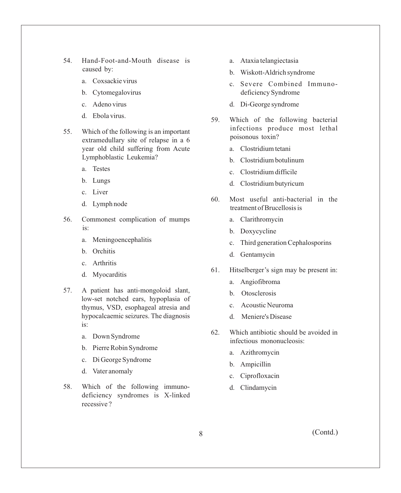- 54. Hand-Foot-and-Mouth disease is caused by:
	- a. Coxsackie virus
	- b. Cytomegalovirus
	- c. Adeno virus
	- d. Ebola virus.
- 55. Which of the following is an important extramedullary site of relapse in a 6 year old child suffering from Acute Lymphoblastic Leukemia?
	- a. Testes
	- b. Lungs
	- c. Liver
	- d. Lymph node
- 56. Commonest complication of mumps is:
	- a. Meningoencephalitis
	- b. Orchitis
	- c. Arthritis
	- d. Myocarditis
- 57. A patient has anti-mongoloid slant, low-set notched ears, hypoplasia of thymus, VSD, esophageal atresia and hypocalcaemic seizures. The diagnosis is:
	- a. Down Syndrome
	- b. Pierre Robin Syndrome
	- c. Di George Syndrome
	- d. Vater anomaly
- 58. Which of the following immunodeficiency syndromes is X-linked recessive ?
- a. Ataxia telangiectasia
- b. Wiskott-Aldrich syndrome
- c. Severe Combined Immunodeficiency Syndrome
- d. Di-George syndrome
- 59. Which of the following bacterial infections produce most lethal poisonous toxin?
	- a. Clostridium tetani
	- b. Clostridium botulinum
	- c. Clostridium difficile
	- d. Clostridium butyricum
- 60. Most useful anti-bacterial in the treatment of Brucellosis is
	- a. Clarithromycin
	- b. Doxycycline
	- c. Third generation Cephalosporins
	- d. Gentamycin
- 61. Hitselberger's sign may be present in:
	- a. Angiofibroma
	- b. Otosclerosis
	- c. Acoustic Neuroma
	- d. Meniere's Disease
- 62. Which antibiotic should be avoided in infectious mononucleosis:
	- a. Azithromycin
	- b. Ampicillin
	- c. Ciprofloxacin
	- d. Clindamycin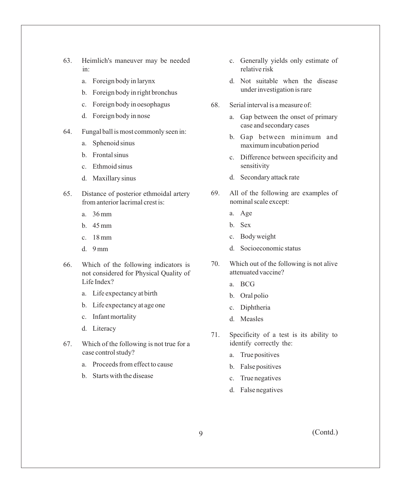- 63. Heimlich's maneuver may be needed in:
	- a. Foreign body in larynx
	- b. Foreign body in right bronchus
	- c. Foreign body in oesophagus
	- d. Foreign body in nose
- 64. Fungal ball is most commonly seen in:
	- a. Sphenoid sinus
	- b. Frontal sinus
	- c. Ethmoid sinus
	- d. Maxillary sinus
- 65. Distance of posterior ethmoidal artery from anterior lacrimal crest is:
	- a. 36 mm
	- b. 45 mm
	- c. 18 mm
	- d. 9 mm
- 66. Which of the following indicators is not considered for Physical Quality of Life Index?
	- a. Life expectancy at birth
	- b. Life expectancy at age one
	- c. Infant mortality
	- d. Literacy
- 67. Which of the following is not true for a case control study?
	- a. Proceeds from effect to cause
	- b. Starts with the disease
- c. Generally yields only estimate of relative risk
- d. Not suitable when the disease under investigation is rare
- 68. Serial interval is a measure of:
	- a. Gap between the onset of primary case and secondary cases
	- b. Gap between minimum and maximum incubation period
	- c. Difference between specificity and sensitivity
	- d. Secondary attack rate
- 69. All of the following are examples of nominal scale except:
	- a. Age
	- b. Sex
	- c. Body weight
	- d. Socioeconomic status
- 70. Which out of the following is not alive attenuated vaccine?
	- a. BCG
	- b. Oral polio
	- c. Diphtheria
	- d. Measles
- 71. Specificity of a test is its ability to identify correctly the:
	- a. True positives
	- b. False positives
	- c. True negatives
	- d. False negatives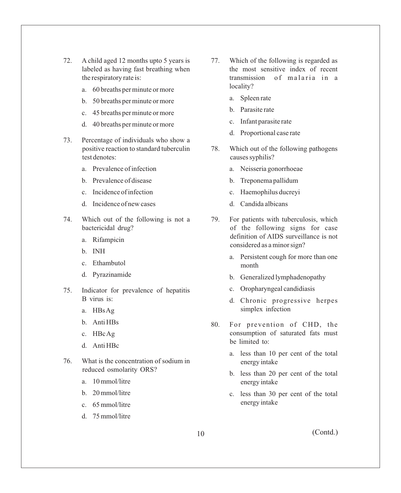- 72. A child aged 12 months upto 5 years is labeled as having fast breathing when the respiratory rate is:
	- a. 60 breaths per minute or more
	- b. 50 breaths per minute or more
	- c. 45 breaths per minute or more
	- d. 40 breaths per minute or more
- 73. Percentage of individuals who show a positive reaction to standard tuberculin test denotes:
	- a. Prevalence of infection
	- b. Prevalence of disease
	- c. Incidence of infection
	- d. Incidence of new cases
- 74. Which out of the following is not a bactericidal drug?
	- a. Rifampicin
	- b. INH
	- c. Ethambutol
	- d. Pyrazinamide
- 75. Indicator for prevalence of hepatitis B virus is:
	- a. HBs Ag
	- b. Anti HBs
	- c. HBc Ag
	- d. Anti HBc
- 76. What is the concentration of sodium in reduced osmolarity ORS?
	- a. 10 mmol/litre
	- b. 20 mmol/litre
	- c. 65 mmol/litre
	- d. 75 mmol/litre
- 77. Which of the following is regarded as the most sensitive index of recent transmission of malaria in a locality?
	- a. Spleen rate
	- b. Parasite rate
	- c. Infant parasite rate
	- d. Proportional case rate
- 78. Which out of the following pathogens causes syphilis?
	- a. Neisseria gonorrhoeae
	- b. Treponema pallidum
	- c. Haemophilus ducreyi
	- d. Candida albicans
- 79. For patients with tuberculosis, which of the following signs for case definition of AIDS surveillance is not considered as a minor sign?
	- a. Persistent cough for more than one month
	- b. Generalized lymphadenopathy
	- c. Oropharyngeal candidiasis
	- d. Chronic progressive herpes simplex infection
- 80. For prevention of CHD, the consumption of saturated fats must be limited to:
	- a. less than 10 per cent of the total energy intake
	- b. less than 20 per cent of the total energy intake
	- c. less than 30 per cent of the total energy intake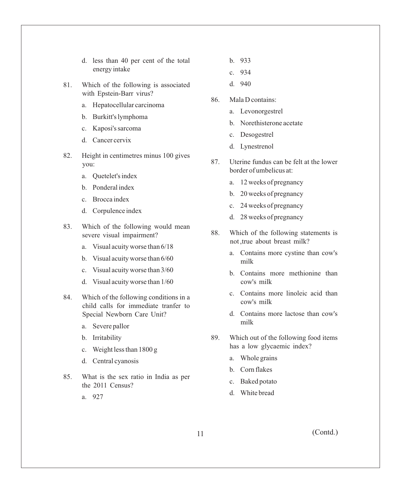- d. less than 40 per cent of the total energy intake
- 81. Which of the following is associated with Epstein-Barr virus?
	- a. Hepatocellular carcinoma
	- b. Burkitt's lymphoma
	- c. Kaposi's sarcoma
	- d. Cancer cervix
- 82. Height in centimetres minus 100 gives you:
	- a. Quetelet's index
	- b. Ponderal index
	- c. Brocca index
	- d. Corpulence index
- 83. Which of the following would mean severe visual impairment?
	- a. Visual acuity worse than 6/18
	- b. Visual acuity worse than 6/60
	- c. Visual acuity worse than 3/60
	- d. Visual acuity worse than 1/60
- 84. Which of the following conditions in a child calls for immediate tranfer to Special Newborn Care Unit?
	- a. Severe pallor
	- b. Irritability
	- c. Weight less than 1800 g
	- d. Central cyanosis
- 85. What is the sex ratio in India as per the 2011 Census?
	- a. 927
- b. 933
- c. 934
- d. 940
- 86. Mala D contains:
	- a. Levonorgestrel
	- b. Norethisterone acetate
	- c. Desogestrel
	- d. Lynestrenol
- 87. Uterine fundus can be felt at the lower border of umbelicus at:
	- a. 12 weeks of pregnancy
	- b. 20 weeks of pregnancy
	- c. 24 weeks of pregnancy
	- d. 28 weeks of pregnancy
- 88. Which of the following statements is not ,true about breast milk?
	- a. Contains more cystine than cow's milk
	- b. Contains more methionine than cow's milk
	- c. Contains more linoleic acid than cow's milk
	- d. Contains more lactose than cow's milk
- 89. Which out of the following food items has a low glycaemic index?
	- a. Whole grains
	- b. Corn flakes
	- c. Baked potato
	- d. White bread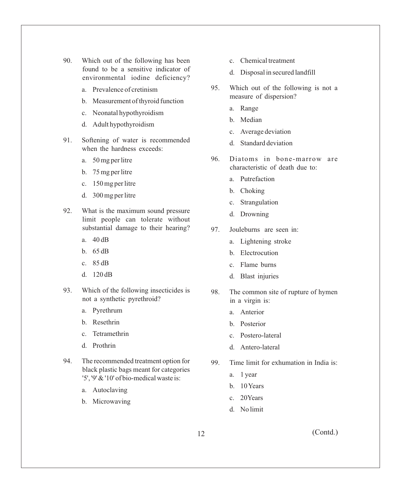- 90. Which out of the following has been found to be a sensitive indicator of environmental iodine deficiency?
	- a. Prevalence of cretinism
	- b. Measurement of thyroid function
	- c. Neonatal hypothyroidism
	- d. Adult hypothyroidism
- 91. Softening of water is recommended when the hardness exceeds:
	- a. 50 mg per litre
	- b. 75 mg per litre
	- c. 150 mg per litre
	- d. 300 mg per litre
- 92. What is the maximum sound pressure limit people can tolerate without substantial damage to their hearing?
	- a. 40 dB
	- b. 65 dB
	- c. 85 dB
	- d. 120 dB
- 93. Which of the following insecticides is not a synthetic pyrethroid?
	- a. Pyrethrum
	- b. Resethrin
	- c. Tetramethrin
	- d. Prothrin
- 94. The recommended treatment option for black plastic bags meant for categories '5', '9' & '10' of bio-medical waste is:
	- a. Autoclaving
	- b. Microwaving
- c. Chemical treatment
- d. Disposal in secured landfill
- 95. Which out of the following is not a measure of dispersion?
	- a. Range
	- b. Median
	- c. Average deviation
	- d. Standard deviation
- 96. Diatoms in bone-marrow are characteristicof death due to:
	- a. Putrefaction
	- b. Choking
	- c. Strangulation
	- d. Drowning
- 97. Jouleburns are seen in:
	- a. Lightening stroke
	- b. Electrocution
	- c. Flame burns
	- d. Blast injuries
- 98. The common site of rupture of hymen in a virgin is:
	- a. Anterior
	- b. Posterior
	- c. Postero-lateral
	- d. Antero-lateral
- 99. Time limit for exhumation in India is:
	- a. 1 year
	- b. 10 Years
	- c. 20Years
	- d. No limit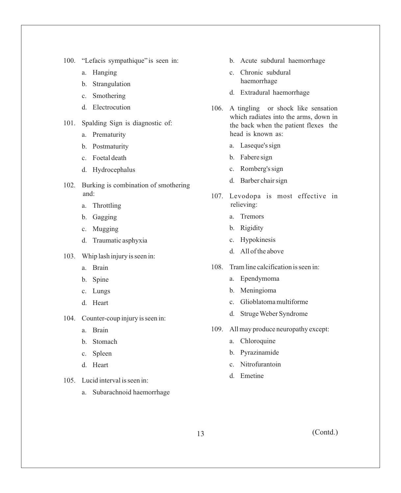- 100. "Lefacis sympathique" is seen in:
	- a. Hanging
	- b. Strangulation
	- c. Smothering
	- d. Electrocution
- 101. Spalding Sign is diagnostic of:
	- a. Prematurity
	- b. Postmaturity
	- c. Foetal death
	- d. Hydrocephalus
- 102. Burking is combination of smothering and:
	- a. Throttling
	- b. Gagging
	- c. Mugging
	- d. Traumatic asphyxia
- 103. Whip lash injury is seen in:
	- a. Brain
	- b. Spine
	- c. Lungs
	- d. Heart
- 104. Counter-coup injury is seen in:
	- a. Brain
	- b. Stomach
	- c. Spleen
	- d. Heart
- 105. Lucid interval is seen in:
	- a. Subarachnoid haemorrhage
- b. Acute subdural haemorrhage
- c. Chronic subdural haemorrhage
- d. Extradural haemorrhage
- 106. A tingling or shock like sensation which radiates into the arms, down in the back when the patient flexes the head is known as:
	- a. Laseque's sign
	- b. Fabere sign
	- c. Romberg's sign
	- d. Barber chair sign
- 107. Levodopa is most effective in relieving:
	- a. Tremors
	- b. Rigidity
	- c. Hypokinesis
	- d. All of the above
- 108. Tram line calcification is seen in:
	- a. Ependymoma
	- b. Meningioma
	- c. Glioblatoma multiforme
	- d. Struge Weber Syndrome
- 109. All may produce neuropathy except:
	- a. Chloroquine
	- b. Pyrazinamide
	- c. Nitrofurantoin
	- d. Emetine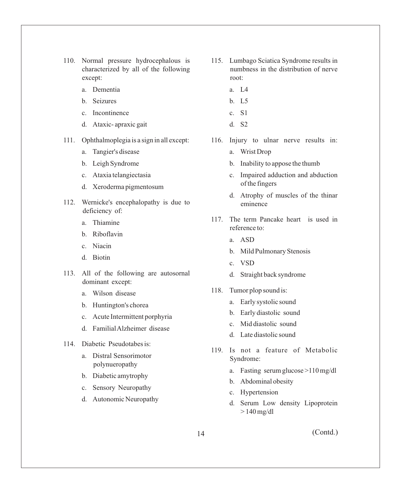- 110. Normal pressure hydrocephalous is characterized by all of the following except:
	- a. Dementia
	- b. Seizures
	- c. Incontinence
	- d. Ataxic- apraxic gait
- 111. Ophthalmoplegia is a sign in all except:
	- a. Tangier's disease
	- b. Leigh Syndrome
	- c. Ataxia telangiectasia
	- d. Xeroderma pigmentosum
- 112. Wernicke's encephalopathy is due to deficiency of:
	- a. Thiamine
	- b. Riboflavin
	- c. Niacin
	- d. Biotin
- 113. All of the following are autosornal dominant except:
	- a. Wilson disease
	- b. Huntington's chorea
	- c. Acute Intermittent porphyria
	- d. Familial Alzheimer disease
- 114. Diabetic Pseudotabes is:
	- a. Distral Sensorimotor polynueropathy
	- b. Diabetic amytrophy
	- c. Sensory Neuropathy
	- d. Autonomic Neuropathy
- 115. Lumbago Sciatica Syndrome results in numbness in the distribution of nerve root:
	- a. L4
	- b. L5
	- c. S1
	- d. S2
- 116. Injury to ulnar nerve results in:
	- a. Wrist Drop
	- b. Inability to appose the thumb
	- c. Impaired adduction and abduction of the fingers
	- d. Atrophy of muscles of the thinar eminence
- 117. The term Pancake heart is used in reference to:
	- a. ASD
	- b. Mild Pulmonary Stenosis
	- c. VSD
	- d. Straight back syndrome
- 118. Tumor plop sound is:
	- a. Early systolic sound
	- b. Early diastolic sound
	- c. Mid diastolic sound
	- d. Late diastolic sound
- 119. Is not a feature of Metabolic Syndrome:
	- a. Fasting serum glucose >110 mg/dl
	- b. Abdominal obesity
	- c. Hypertension
	- d. Serum Low density Lipoprotein  $> 140$  mg/dl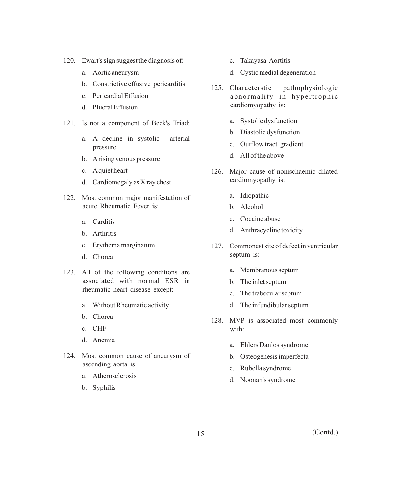- 120. Ewart's sign suggest the diagnosis of:
	- a. Aortic aneurysm
	- b. Constrictive effusive pericarditis
	- c. Pericardial Effusion
	- d. Plueral Effusion
- 121. Is not a component of Beck's Triad:
	- a. A decline in systolic arterial pressure
	- b. Arising venous pressure
	- c. Aquiet heart
	- d. Cardiomegaly as X ray chest
- 122. Most common major manifestation of acute Rheumatic Fever is:
	- a. Carditis
	- b. Arthritis
	- c. Erythema marginatum
	- d. Chorea
- 123. All of the following conditions are associated with normal ESR in rheumatic heart disease except:
	- a. Without Rheumatic activity
	- b. Chorea
	- c. CHF
	- d. Anemia
- 124. Most common cause of aneurysm of ascending aorta is:
	- a. Atherosclerosis
	- b. Syphilis
- c. Takayasa Aortitis
- d. Cystic medial degeneration
- 125. Characterstic pathophysiologic abnormality in hypertrophic cardiomyopathy is:
	- a. Systolic dysfunction
	- b. Diastolic dysfunction
	- c. Outflow tract gradient
	- d. All of the above
- 126. Major cause of nonischaemic dilated cardiomyopathy is:
	- a. Idiopathic
	- b. Alcohol
	- c. Cocaine abuse
	- d. Anthracycline toxicity
- 127. Commonest site of defect in ventricular septum is:
	- a. Membranous septum
	- b. The inlet septum
	- c. The trabecular septum
	- d. The infundibular septum
- 128. MVP is associated most commonly with:
	- a. Ehlers Danlos syndrome
	- b. Osteogenesis imperfecta
	- c. Rubella syndrome
	- d. Noonan's syndrome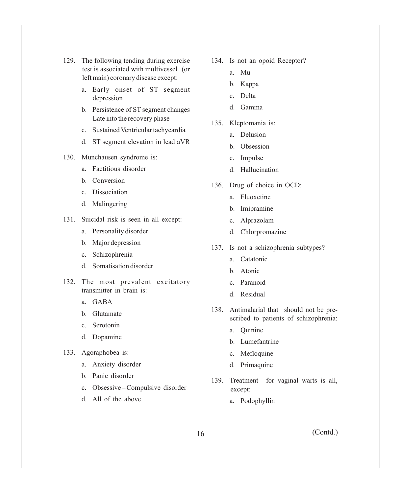- 129. The following tending during exercise test is associated with multivessel (or left main) coronary disease except:
	- a. Early onset of ST segment depression
	- b. Persistence of ST segment changes Late into the recovery phase
	- c. Sustained Ventricular tachycardia
	- d. ST segment elevation in lead aVR

## 130. Munchausen syndrome is:

- a. Factitious disorder
- b. Conversion
- c. Dissociation
- d. Malingering
- 131. Suicidal risk is seen in all except:
	- a. Personality disorder
	- b. Major depression
	- c. Schizophrenia
	- d. Somatisation disorder
- 132. The most prevalent excitatory transmitter in brain is:
	- a. GABA
	- b. Glutamate
	- c. Serotonin
	- d. Dopamine
- 133. Agoraphobea is:
	- a. Anxiety disorder
	- b. Panic disorder
	- c. Obsessive Compulsive disorder
	- d. All of the above
- 134. Is not an opoid Receptor?
	- a. Mu
	- b. Kappa
	- c. Delta
	- d. Gamma
- 135. Kleptomania is:
	- a. Delusion
	- b. Obsession
	- c. Impulse
	- d. Hallucination
- 136. Drug of choice in OCD:
	- a. Fluoxetine
	- b. Imipramine
	- c. Alprazolam
	- d. Chlorpromazine
- 137. Is not a schizophrenia subtypes?
	- a. Catatonic
	- b. Atonic
	- c. Paranoid
	- d. Residual
- 138. Antimalarial that should not be prescribed to patients of schizophrenia:
	- a. Quinine
	- b. Lumefantrine
	- c. Mefloquine
	- d. Primaquine
- 139. Treatment for vaginal warts is all, except:
	- a. Podophyllin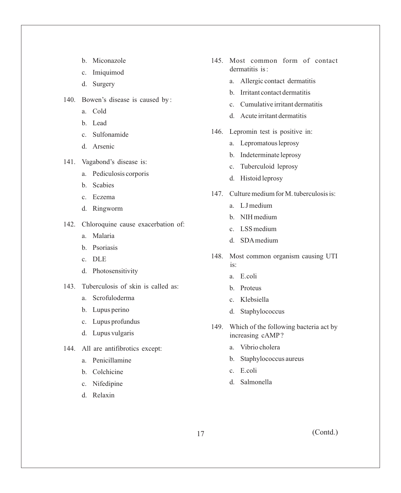- b. Miconazole
- c. Imiquimod
- d. Surgery
- 140. Bowen's disease is caused by :
	- a. Cold
	- b. Lead
	- c. Sulfonamide
	- d. Arsenic
- 141. Vagabond's disease is:
	- a. Pediculosis corporis
	- b. Scabies
	- c. Eczema
	- d. Ringworm
- 142. Chloroquine cause exacerbation of:
	- a. Malaria
	- b. Psoriasis
	- c. DLE
	- d. Photosensitivity
- 143. Tuberculosis of skin is called as:
	- a. Scrofuloderma
	- b. Lupus perino
	- c. Lupus profundus
	- d. Lupus vulgaris
- 144. All are antifibrotics except:
	- a. Penicillamine
	- b. Colchicine
	- c. Nifedipine
	- d. Relaxin
- 145. Most common form of contact dermatitis is :
	- a. Allergic contact dermatitis
	- b. Irritant contact dermatitis
	- c. Cumulative irritant dermatitis
	- d. Acute irritant dermatitis
- 146. Lepromin test is positive in:
	- a. Lepromatous leprosy
	- b. Indeterminate leprosy
	- c. Tuberculoid leprosy
	- d. Histoid leprosy
- 147. Culture medium for M. tuberculosis is:
	- a. LJ medium
	- b. NIH medium
	- c. LSS medium
	- d. SDAmedium
- 148. Most common organism causing UTI is:
	- a. E.coli
	- b. Proteus
	- c. Klebsiella
	- d. Staphylococcus
- 149. Which of the following bacteria act by increasing cAMP?
	- a. Vibrio cholera
	- b. Staphylococcus aureus
	- c. E.coli
	- d. Salmonella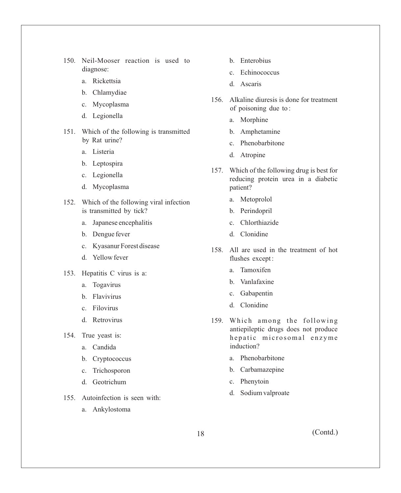- 150. Neil-Mooser reaction is used to diagnose:
	- a. Rickettsia
	- b. Chlamydiae
	- c. Mycoplasma
	- d. Legionella
- 151. Which of the following is transmitted by Rat urine?
	- a. Listeria
	- b. Leptospira
	- c. Legionella
	- d. Mycoplasma
- 152. Which of the following viral infection is transmitted by tick?
	- a. Japanese encephalitis
	- b. Dengue fever
	- c. Kyasanur Forest disease
	- d. Yellow fever
- 153. Hepatitis C virus is a:
	- a. Togavirus
	- b. Flavivirus
	- c. Filovirus
	- d. Retrovirus
- 154. True yeast is:
	- a. Candida
	- b. Cryptococcus
	- c. Trichosporon
	- d. Geotrichum
- 155. Autoinfection is seen with:
	- a. Ankylostoma
- b. Enterobius
- c. Echinococcus
- d. Ascaris
- 156. Alkaline diuresis is done for treatment of poisoning due to :
	- a. Morphine
	- b. Amphetamine
	- c. Phenobarbitone
	- d. Atropine
- 157. Which of the following drug is best for reducing protein urea in a diabetic patient?
	- a. Metoprolol
	- b. Perindopril
	- c. Chlorthiazide
	- d. Clonidine
- 158. All are used in the treatment of hot flushes except :
	- a. Tamoxifen
	- b. Vanlafaxine
	- c. Gabapentin
	- d. Clonidine
- 159. Which among the following antiepileptic drugs does not produce hepatic microsomal enzyme induction?
	- a. Phenobarbitone
	- b. Carbamazepine
	- c. Phenytoin
	- d. Sodium valproate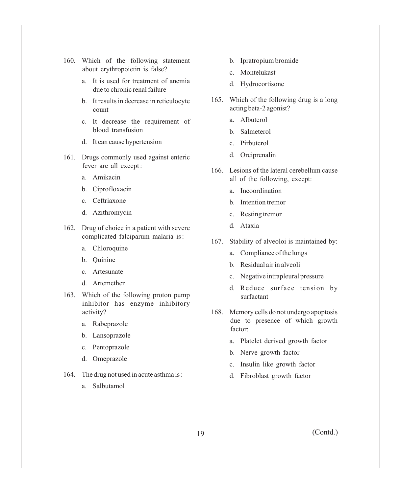- 160. Which of the following statement about erythropoietin is false?
	- a. It is used for treatment of anemia due to chronic renal failure
	- b. It results in decrease in reticulocyte count
	- c. It decrease the requirement of blood transfusion
	- d. It can cause hypertension
- 161. Drugs commonly used against enteric fever are all except :
	- a. Amikacin
	- b. Ciprofloxacin
	- c. Ceftriaxone
	- d. Azithromycin
- 162. Drug of choice in a patient with severe complicated falciparum malaria is :
	- a. Chloroquine
	- b. Quinine
	- c. Artesunate
	- d. Artemether
- 163. Which of the following proton pump inhibitor has enzyme inhibitory activity?
	- a. Rabeprazole
	- b. Lansoprazole
	- c. Pentoprazole
	- d. Omeprazole
- 164. The drug not used in acute asthma is :
	- a. Salbutamol
- b. Ipratropium bromide
- c. Montelukast
- d. Hydrocortisone
- 165. Which of the following drug is a long acting beta-2 agonist?
	- a. Albuterol
	- b. Salmeterol
	- c. Pirbuterol
	- d. Orciprenalin
- 166. Lesions of the lateral cerebellum cause all of the following, except:
	- a. Incoordination
	- b. Intention tremor
	- c. Resting tremor
	- d. Ataxia
- 167. Stability of alveoloi is maintained by:
	- a. Compliance of the lungs
	- b. Residual air in alveoli
	- c. Negative intrapleural pressure
	- d. Reduce surface tension by surfactant
- 168. Memory cells do not undergo apoptosis due to presence of which growth factor:
	- a. Platelet derived growth factor
	- b. Nerve growth factor
	- c. Insulin like growth factor
	- d. Fibroblast growth factor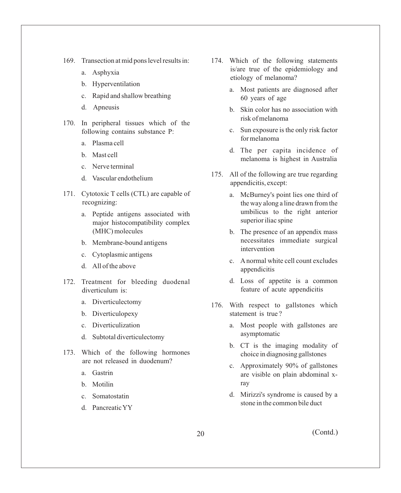- 169. Transection at mid pons level results in:
	- a. Asphyxia
	- b. Hyperventilation
	- c. Rapid and shallow breathing
	- d. Apneusis
- 170. In peripheral tissues which of the following contains substance P:
	- a. Plasma cell
	- b. Mast cell
	- c. Nerve terminal
	- d. Vascular endothelium
- 171. Cytotoxic T cells (CTL) are capable of recognizing:
	- a. Peptide antigens associated with major histocompatibility complex (MHC) molecules
	- b. Membrane-bound antigens
	- c. Cytoplasmic antigens
	- d. All of the above
- 172. Treatment for bleeding duodenal diverticulum is:
	- a. Diverticulectomy
	- b. Diverticulopexy
	- c. Diverticulization
	- d. Subtotal diverticulectomy
- 173. Which of the following hormones are not released in duodenum?
	- a. Gastrin
	- b. Motilin
	- c. Somatostatin
	- d. Pancreatic YY
- 174. Which of the following statements is/are true of the epidemiology and etiology of melanoma?
	- a. Most patients are diagnosed after 60 years of age
	- b. Skin color has no association with risk of melanoma
	- c. Sun exposure is the only risk factor for melanoma
	- d. The per capita incidence of melanoma is highest in Australia
- 175. All of the following are true regarding appendicitis, except:
	- a. McBurney's point lies one third of the way along a line drawn from the umbilicus to the right anterior superior iliac spine
	- b. The presence of an appendix mass necessitates immediate surgical intervention
	- c. Anormal white cell count excludes appendicitis
	- d. Loss of appetite is a common feature of acute appendicitis
- 176. With respect to gallstones which statement is true ?
	- a. Most people with gallstones are asymptomatic
	- b. CT is the imaging modality of choice in diagnosing gallstones
	- c. Approximately 90% of gallstones are visible on plain abdominal xray
	- d. Mirizzi's syndrome is caused by a stone in the common bile duct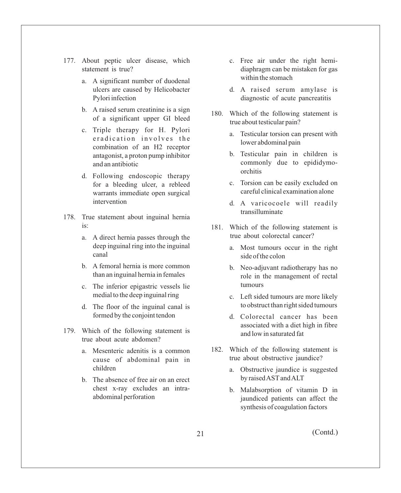- 177. About peptic ulcer disease, which statement is true?
	- a. A significant number of duodenal ulcers are caused by Helicobacter Pylori infection
	- b. A raised serum creatinine is a sign of a significant upper GI bleed
	- c. Triple therapy for H. Pylori eradication involves the combination of an H2 receptor antagonist, a proton pump inhibitor and an antibiotic
	- d. Following endoscopic therapy for a bleeding ulcer, a rebleed warrants immediate open surgical intervention
- 178. True statement about inguinal hernia  $i_{\mathcal{S}}$ 
	- a. A direct hernia passes through the deep inguinal ring into the inguinal canal
	- b. A femoral hernia is more common than an inguinal hernia in females
	- c. The inferior epigastric vessels lie medial to the deep inguinal ring
	- d. The floor of the inguinal canal is formed by the conjoint tendon
- 179. Which of the following statement is true about acute abdomen?
	- a. Mesenteric adenitis is a common cause of abdominal pain in children
	- b. The absence of free air on an erect chest x-ray excludes an intraabdominal perforation
- c. Free air under the right hemidiaphragm can be mistaken for gas within the stomach
- d. A raised serum amylase is diagnostic of acute pancreatitis
- 180. Which of the following statement is true about testicular pain?
	- a. Testicular torsion can present with lower abdominal pain
	- b. Testicular pain in children is commonly due to epididymoorchitis
	- c. Torsion can be easily excluded on careful clinical examination alone
	- d. A varicocoele will readily transilluminate
- 181. Which of the following statement is true about colorectal cancer?
	- a. Most tumours occur in the right side of the colon
	- b. Neo-adjuvant radiotherapy has no role in the management of rectal tumours
	- c. Left sided tumours are more likely to obstruct than right sided tumours
	- d. Colorectal cancer has been associated with a diet high in fibre and low in saturated fat
- 182. Which of the following statement is true about obstructive jaundice?
	- a. Obstructive jaundice is suggested by raised ASTand ALT
	- b. Malabsorption of vitamin D in jaundiced patients can affect the synthesis of coagulation factors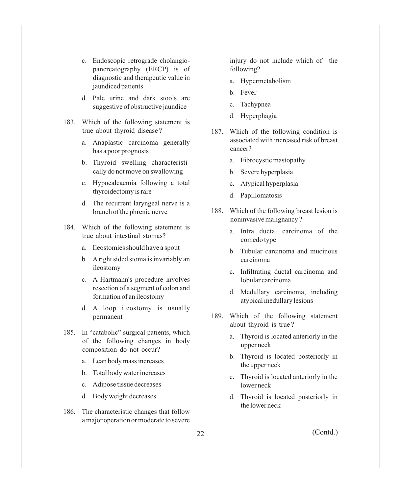- c. Endoscopic retrograde cholangiopancreatography (ERCP) is of diagnostic and therapeutic value in jaundiced patients
- d. Pale urine and dark stools are suggestive of obstructive jaundice
- 183. Which of the following statement is true about thyroid disease ?
	- a. Anaplastic carcinoma generally has a poor prognosis
	- b. Thyroid swelling characteristically do not move on swallowing
	- c. Hypocalcaemia following a total thyroidectomy is rare
	- d. The recurrent laryngeal nerve is a branch of the phrenic nerve
- 184. Which of the following statement is true about intestinal stomas?
	- a. Ileostomies should have a spout
	- b. Aright sided stoma is invariably an ileostomy
	- c. A Hartmann's procedure involves resection of a segment of colon and formation of an ileostomy
	- d. A loop ileostomy is usually permanent
- 185. In "catabolic" surgical patients, which of the following changes in body composition do not occur?
	- a. Lean body mass increases
	- b. Total body water increases
	- c. Adipose tissue decreases
	- d. Body weight decreases
- 186. The characteristic changes that follow a major operation or moderate to severe

injury do not include which of the following?

- a. Hypermetabolism
- b. Fever
- c. Tachypnea
- d. Hyperphagia
- 187. Which of the following condition is associated with increased risk of breast cancer?
	- a. Fibrocystic mastopathy
	- b. Severe hyperplasia
	- c. Atypical hyperplasia
	- d. Papillomatosis
- 188. Which of the following breast lesion is noninvasive malignancy ?
	- a. Intra ductal carcinoma of the comedo type
	- b. Tubular carcinoma and mucinous carcinoma
	- c. Infiltrating ductal carcinoma and lobular carcinoma
	- d. Medullary carcinoma, including atypical medullary lesions
- 189. Which of the following statement about thyroid is true ?
	- a. Thyroid is located anteriorly in the upper neck
	- b. Thyroid is located posteriorly in the upper neck
	- c. Thyroid is located anteriorly in the lower neck
	- d. Thyroid is located posteriorly in the lower neck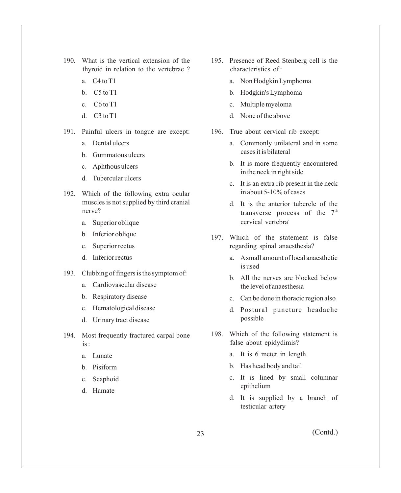- 190. What is the vertical extension of the thyroid in relation to the vertebrae ?
	- a. C4 to T1
	- b. C5 to T1
	- c. C6 to T1
	- d. C3 to T1
- 191. Painful ulcers in tongue are except:
	- a. Dental ulcers
	- b. Gummatous ulcers
	- c. Aphthous ulcers
	- d. Tubercular ulcers
- 192. Which of the following extra ocular muscles is not supplied by third cranial nerve?
	- a. Superior oblique
	- b. Inferior oblique
	- c. Superior rectus
	- d. Inferior rectus
- 193. Clubbing of fingers is the symptom of:
	- a. Cardiovascular disease
	- b. Respiratory disease
	- c. Hematological disease
	- d. Urinary tract disease
- 194. Most frequently fractured carpal bone is :
	- a. Lunate
	- b. Pisiform
	- c. Scaphoid
	- d. Hamate
- 195. Presence of Reed Stenberg cell is the characteristics of :
	- a. Non Hodgkin Lymphoma
	- b. Hodgkin's Lymphoma
	- c. Multiple myeloma
	- d. None of the above
- 196. True about cervical rib except:
	- a. Commonly unilateral and in some cases it is bilateral
	- b. It is more frequently encountered in the neck in right side
	- c. It is an extra rib present in the neck in about 5-10% of cases
	- d. It is the anterior tubercle of the transverse process of the  $7<sup>th</sup>$ cervical vertebra
- 197. Which of the statement is false regarding spinal anaesthesia?
	- a. Asmall amount of local anaesthetic is used
	- b. All the nerves are blocked below the level of anaesthesia
	- c. Can be done in thoracic region also
	- d. Postural puncture headache possible
- 198. Which of the following statement is false about epidydimis?
	- a. It is 6 meter in length
	- b. Has head body and tail
	- c. It is lined by small columnar epithelium
	- d. It is supplied by a branch of testicular artery